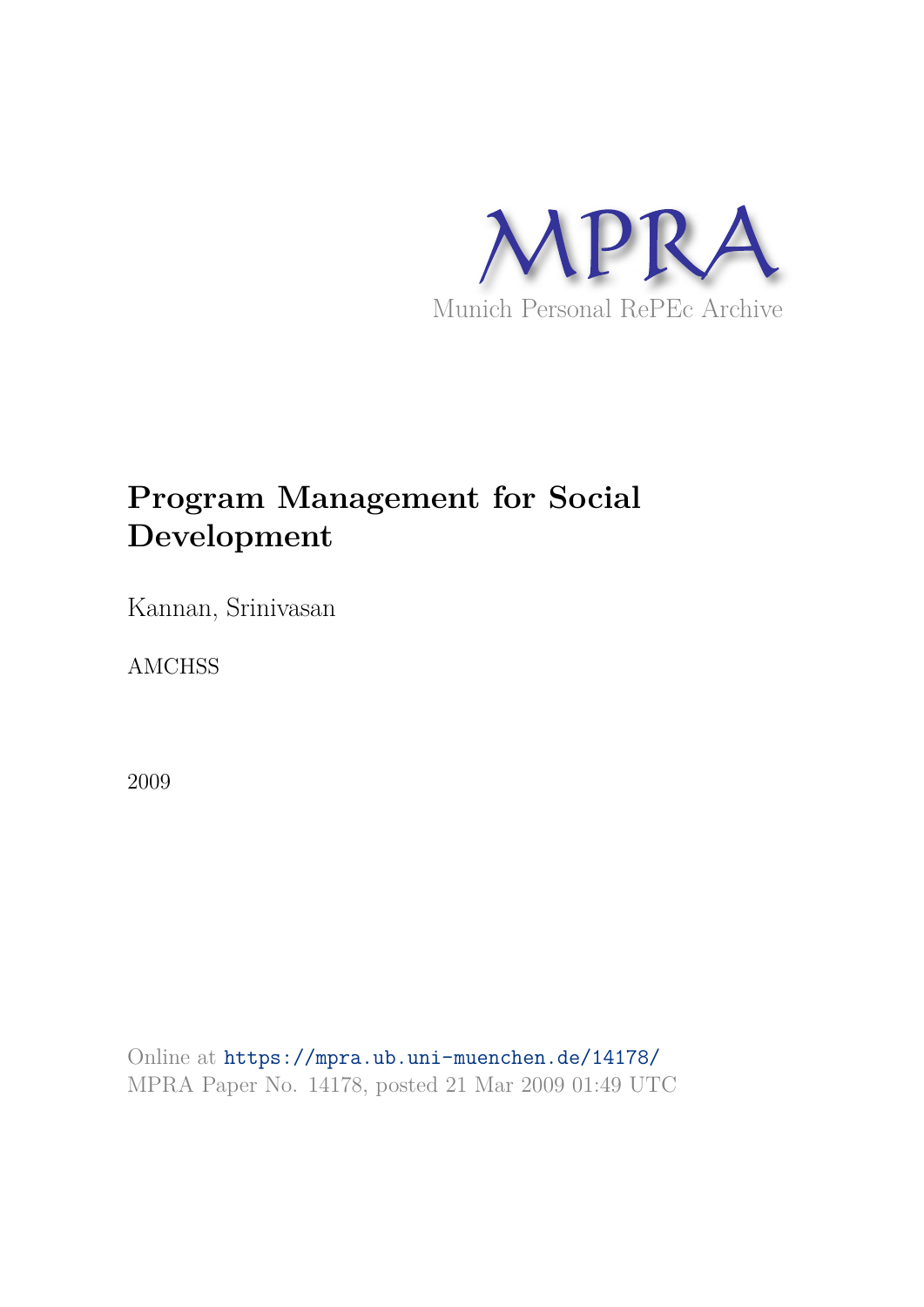

# **Program Management for Social Development**

Kannan, Srinivasan

AMCHSS

2009

Online at https://mpra.ub.uni-muenchen.de/14178/ MPRA Paper No. 14178, posted 21 Mar 2009 01:49 UTC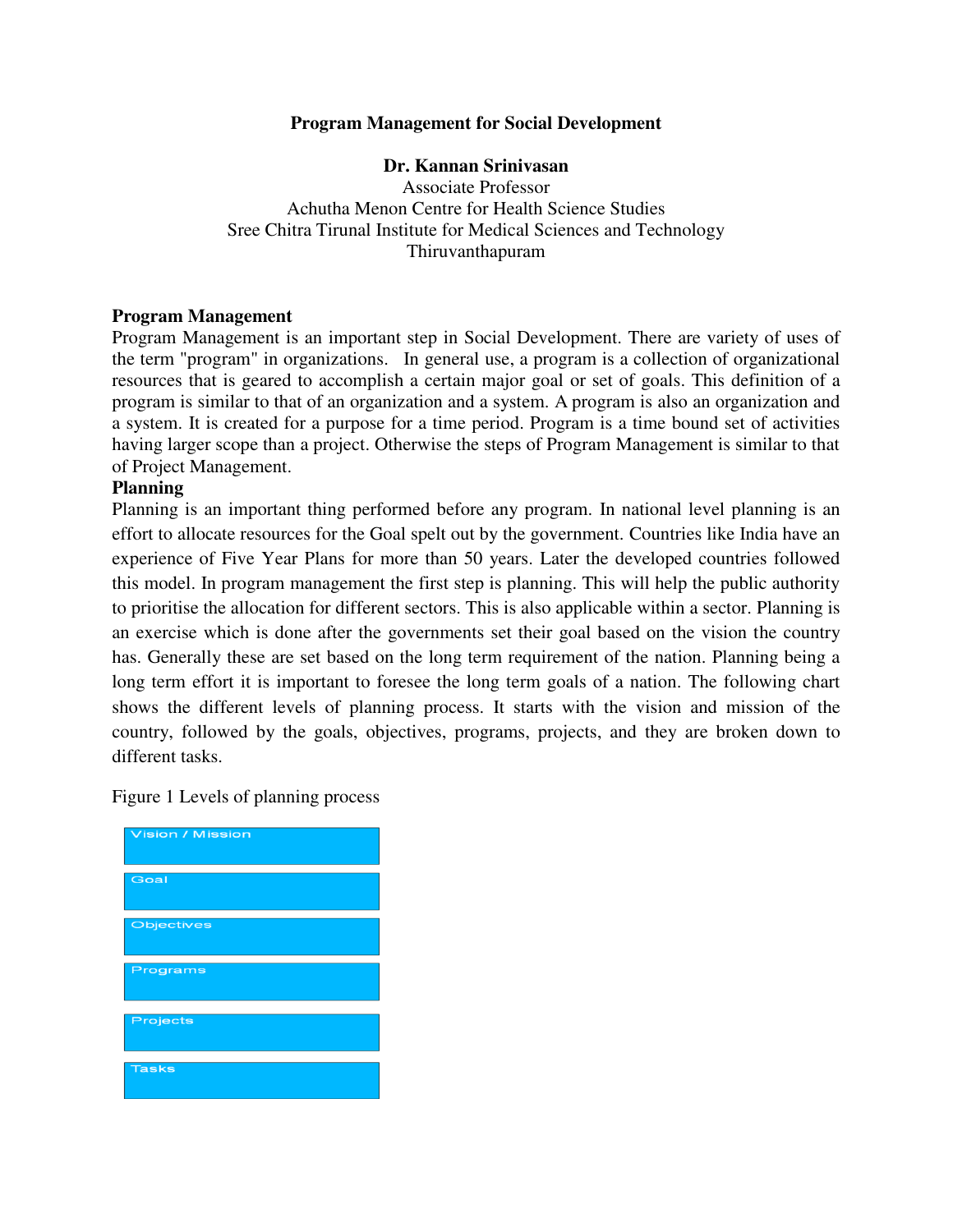## **Program Management for Social Development**

#### **Dr. Kannan Srinivasan**

Associate Professor Achutha Menon Centre for Health Science Studies Sree Chitra Tirunal Institute for Medical Sciences and Technology Thiruvanthapuram

#### **Program Management**

Program Management is an important step in Social Development. There are variety of uses of the term "program" in organizations. In general use, a program is a collection of organizational resources that is geared to accomplish a certain major goal or set of goals. This definition of a program is similar to that of an organization and a system. A program is also an organization and a system. It is created for a purpose for a time period. Program is a time bound set of activities having larger scope than a project. Otherwise the steps of Program Management is similar to that of Project Management.

#### **Planning**

Planning is an important thing performed before any program. In national level planning is an effort to allocate resources for the Goal spelt out by the government. Countries like India have an experience of Five Year Plans for more than 50 years. Later the developed countries followed this model. In program management the first step is planning. This will help the public authority to prioritise the allocation for different sectors. This is also applicable within a sector. Planning is an exercise which is done after the governments set their goal based on the vision the country has. Generally these are set based on the long term requirement of the nation. Planning being a long term effort it is important to foresee the long term goals of a nation. The following chart shows the different levels of planning process. It starts with the vision and mission of the country, followed by the goals, objectives, programs, projects, and they are broken down to different tasks.

Figure 1 Levels of planning process

| <b>Vision / Mission</b> |
|-------------------------|
|                         |
| Goal                    |
|                         |
|                         |
| Objectives              |
|                         |
| Programs                |
|                         |
| Projects                |
|                         |
| <b>Tasks</b>            |
|                         |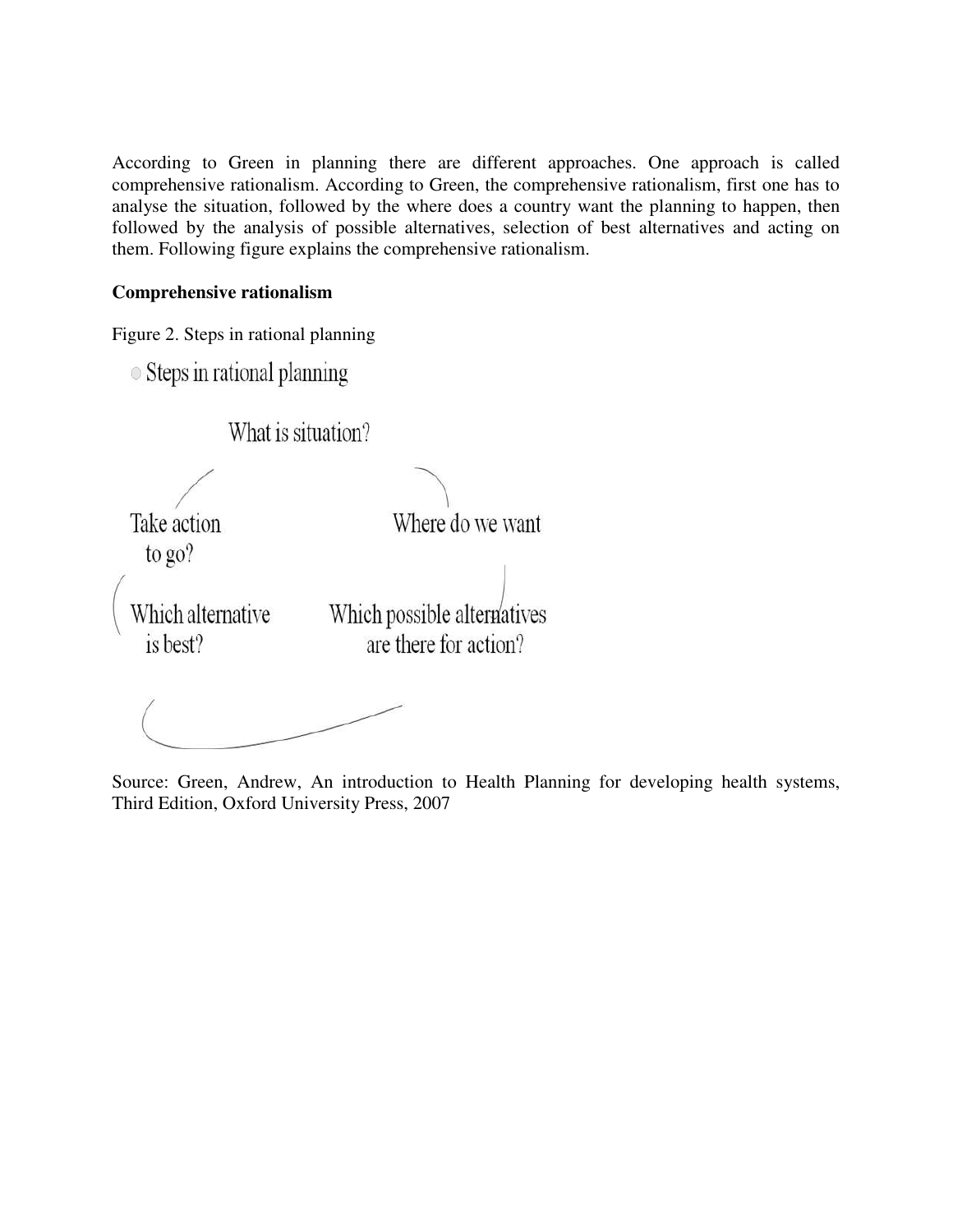According to Green in planning there are different approaches. One approach is called comprehensive rationalism. According to Green, the comprehensive rationalism, first one has to analyse the situation, followed by the where does a country want the planning to happen, then followed by the analysis of possible alternatives, selection of best alternatives and acting on them. Following figure explains the comprehensive rationalism.

## **Comprehensive rationalism**

Figure 2. Steps in rational planning

 $\circ$  Steps in rational planning

What is situation?

Take action to go?

Where do we want

Which alternative is best?

Which possible alternatives are there for action?

Source: Green, Andrew, An introduction to Health Planning for developing health systems, Third Edition, Oxford University Press, 2007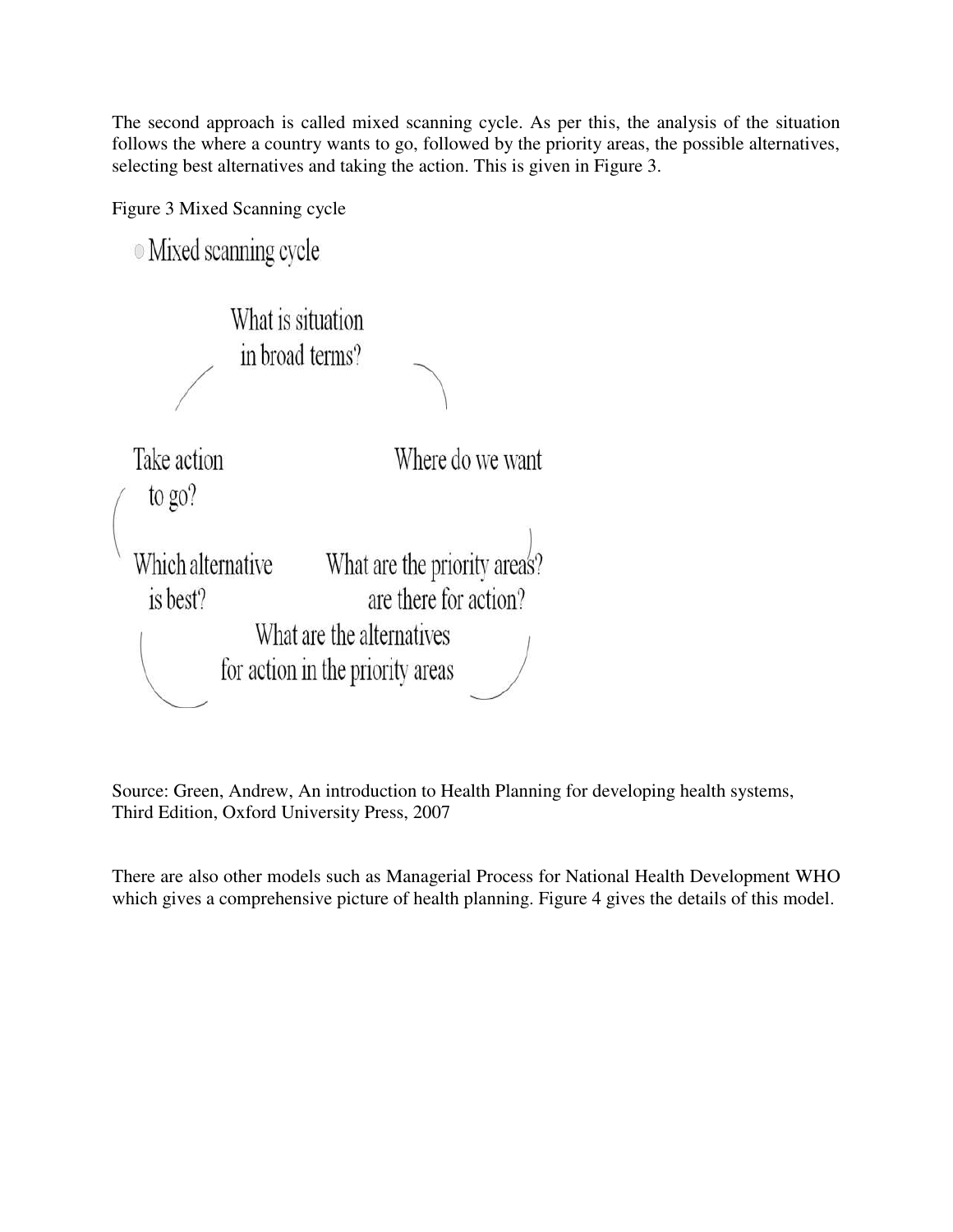The second approach is called mixed scanning cycle. As per this, the analysis of the situation follows the where a country wants to go, followed by the priority areas, the possible alternatives, selecting best alternatives and taking the action. This is given in Figure 3.

Figure 3 Mixed Scanning cycle

**O** Mixed scanning cycle What is situation in broad terms? Take action Where do we want to go? What are the priority area's? Which alternative are there for action? is best? What are the alternatives for action in the priority areas

Source: Green, Andrew, An introduction to Health Planning for developing health systems, Third Edition, Oxford University Press, 2007

There are also other models such as Managerial Process for National Health Development WHO which gives a comprehensive picture of health planning. Figure 4 gives the details of this model.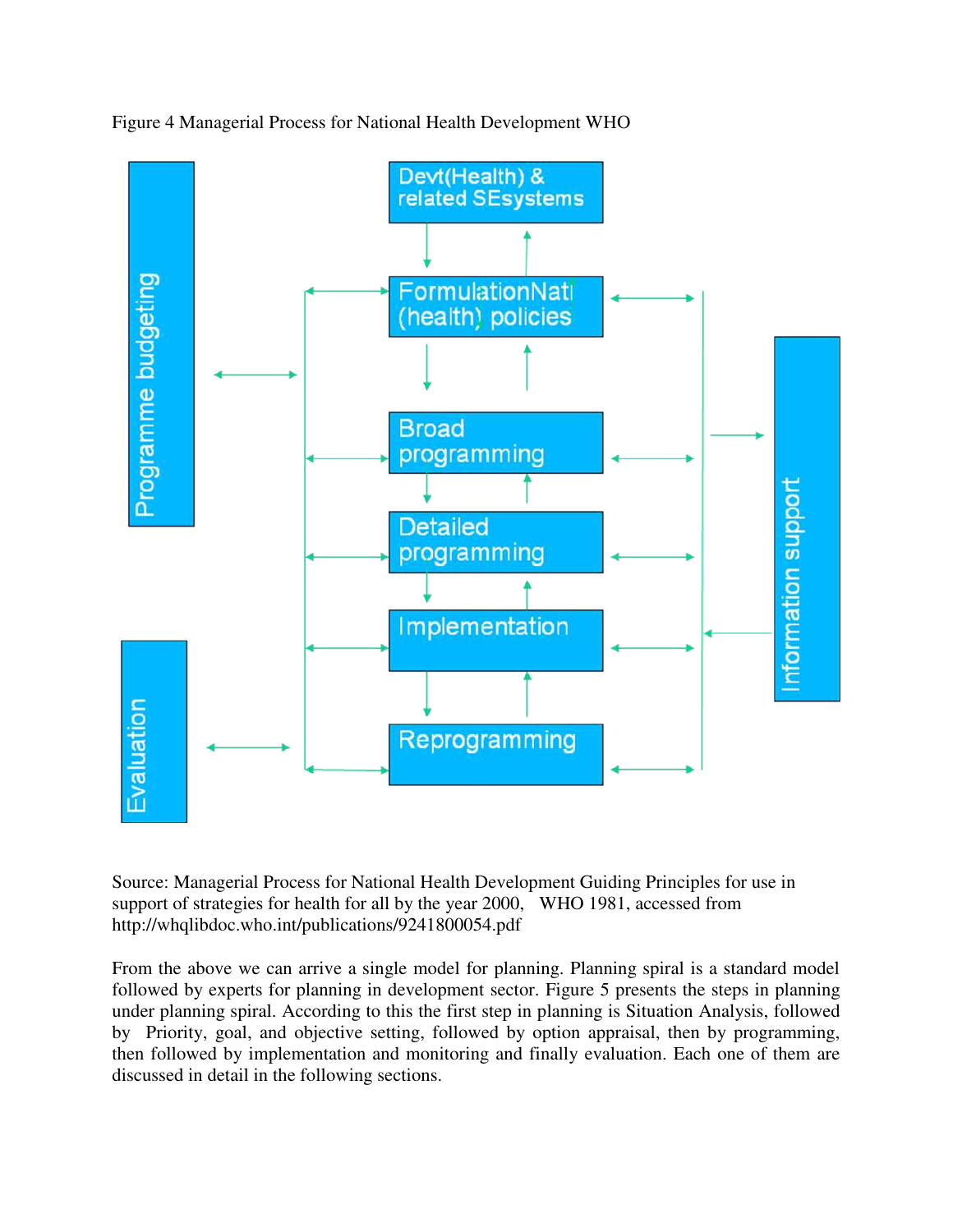

Figure 4 Managerial Process for National Health Development WHO

Source: Managerial Process for National Health Development Guiding Principles for use in support of strategies for health for all by the year 2000, WHO 1981, accessed from http://whqlibdoc.who.int/publications/9241800054.pdf

From the above we can arrive a single model for planning. Planning spiral is a standard model followed by experts for planning in development sector. Figure 5 presents the steps in planning under planning spiral. According to this the first step in planning is Situation Analysis, followed by Priority, goal, and objective setting, followed by option appraisal, then by programming, then followed by implementation and monitoring and finally evaluation. Each one of them are discussed in detail in the following sections.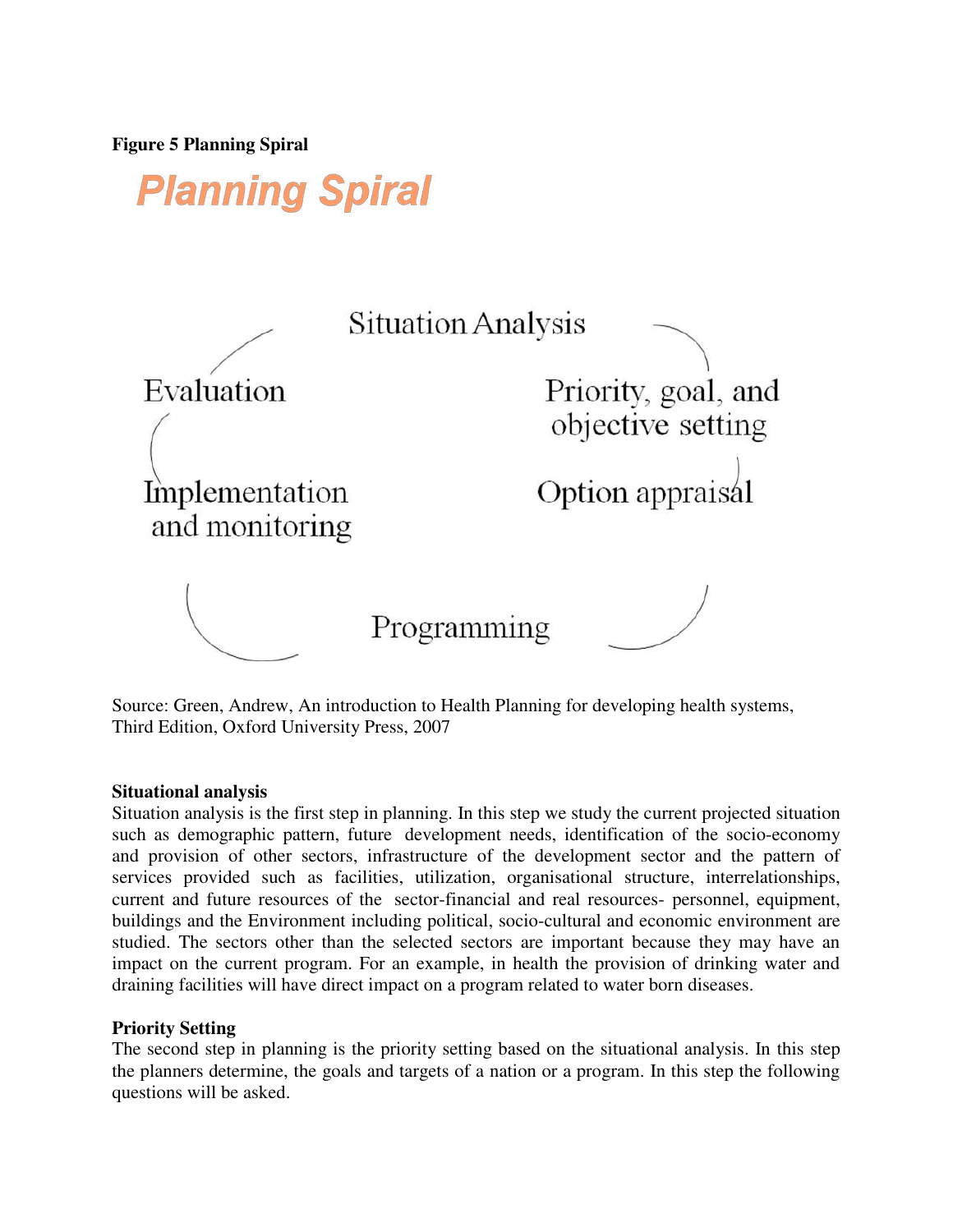**Figure 5 Planning Spiral** 

**Planning Spiral** 



Source: Green, Andrew, An introduction to Health Planning for developing health systems, Third Edition, Oxford University Press, 2007

#### **Situational analysis**

Situation analysis is the first step in planning. In this step we study the current projected situation such as demographic pattern, future development needs, identification of the socio-economy and provision of other sectors, infrastructure of the development sector and the pattern of services provided such as facilities, utilization, organisational structure, interrelationships, current and future resources of the sector-financial and real resources- personnel, equipment, buildings and the Environment including political, socio-cultural and economic environment are studied. The sectors other than the selected sectors are important because they may have an impact on the current program. For an example, in health the provision of drinking water and draining facilities will have direct impact on a program related to water born diseases.

#### **Priority Setting**

The second step in planning is the priority setting based on the situational analysis. In this step the planners determine, the goals and targets of a nation or a program. In this step the following questions will be asked.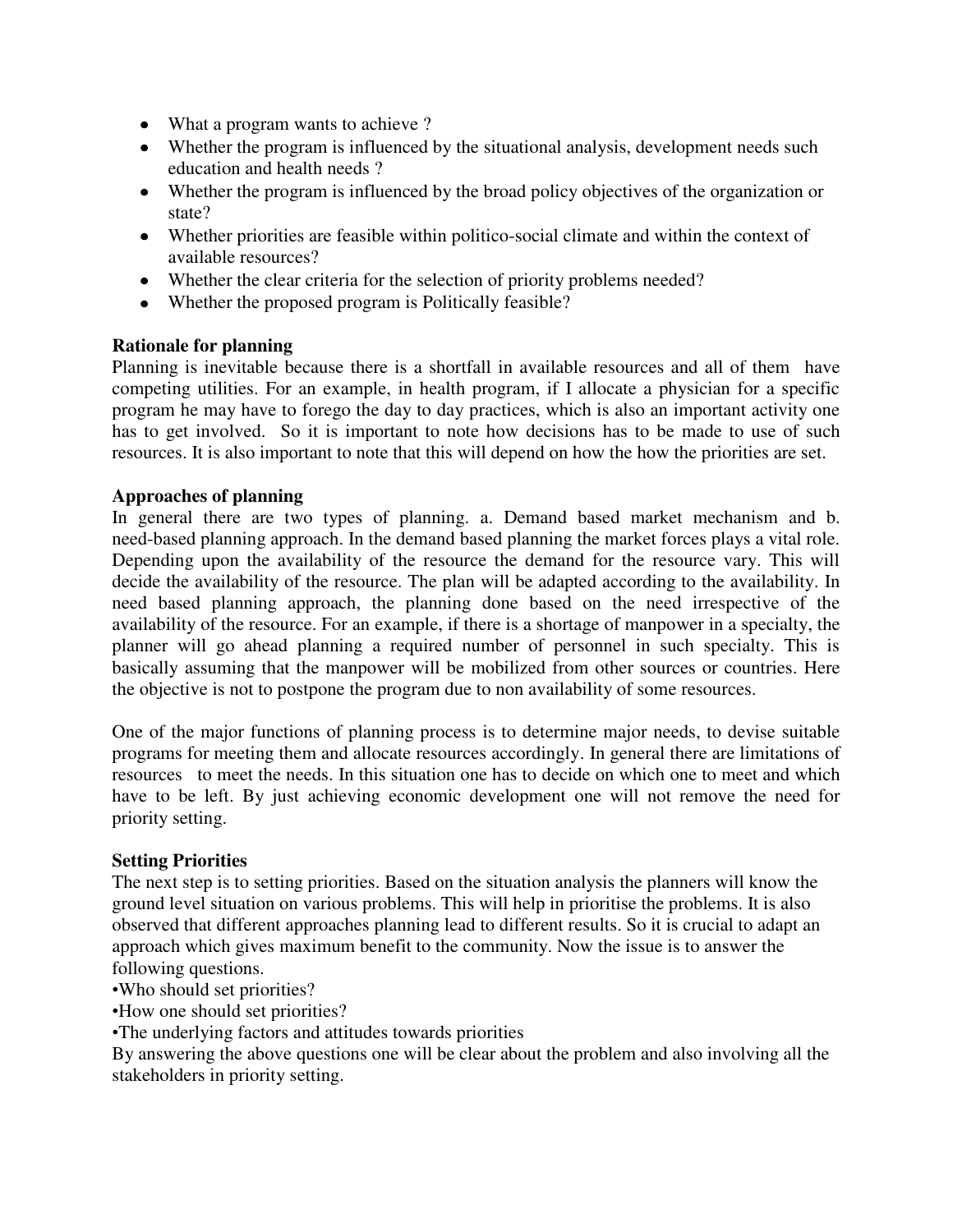- What a program wants to achieve ?
- Whether the program is influenced by the situational analysis, development needs such education and health needs ?
- Whether the program is influenced by the broad policy objectives of the organization or state?
- Whether priorities are feasible within politico-social climate and within the context of available resources?
- Whether the clear criteria for the selection of priority problems needed?
- Whether the proposed program is Politically feasible?

#### **Rationale for planning**

Planning is inevitable because there is a shortfall in available resources and all of them have competing utilities. For an example, in health program, if I allocate a physician for a specific program he may have to forego the day to day practices, which is also an important activity one has to get involved. So it is important to note how decisions has to be made to use of such resources. It is also important to note that this will depend on how the how the priorities are set.

#### **Approaches of planning**

In general there are two types of planning. a. Demand based market mechanism and b. need-based planning approach. In the demand based planning the market forces plays a vital role. Depending upon the availability of the resource the demand for the resource vary. This will decide the availability of the resource. The plan will be adapted according to the availability. In need based planning approach, the planning done based on the need irrespective of the availability of the resource. For an example, if there is a shortage of manpower in a specialty, the planner will go ahead planning a required number of personnel in such specialty. This is basically assuming that the manpower will be mobilized from other sources or countries. Here the objective is not to postpone the program due to non availability of some resources.

One of the major functions of planning process is to determine major needs, to devise suitable programs for meeting them and allocate resources accordingly. In general there are limitations of resources to meet the needs. In this situation one has to decide on which one to meet and which have to be left. By just achieving economic development one will not remove the need for priority setting.

#### **Setting Priorities**

The next step is to setting priorities. Based on the situation analysis the planners will know the ground level situation on various problems. This will help in prioritise the problems. It is also observed that different approaches planning lead to different results. So it is crucial to adapt an approach which gives maximum benefit to the community. Now the issue is to answer the following questions.

- •Who should set priorities?
- •How one should set priorities?
- •The underlying factors and attitudes towards priorities

By answering the above questions one will be clear about the problem and also involving all the stakeholders in priority setting.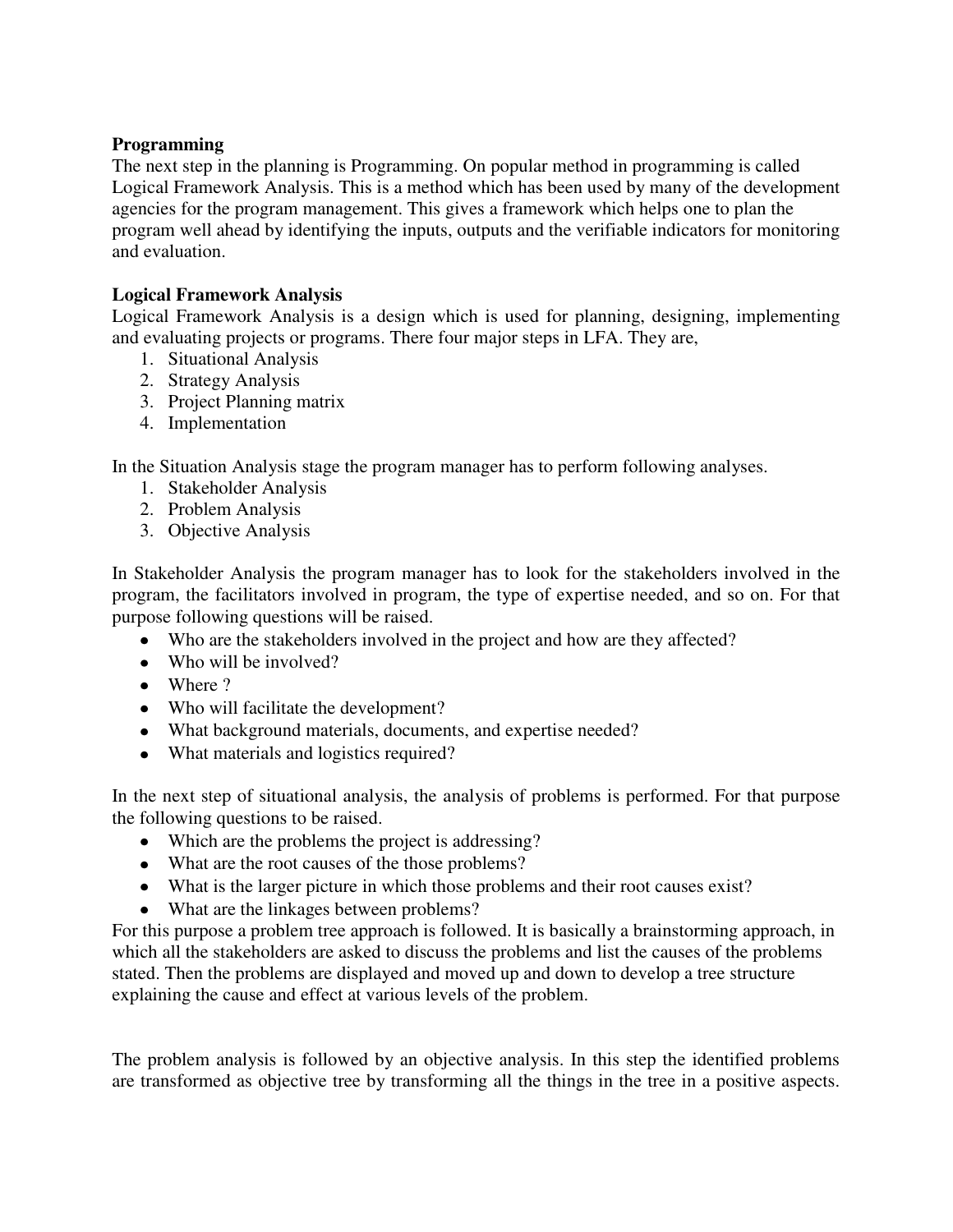# **Programming**

The next step in the planning is Programming. On popular method in programming is called Logical Framework Analysis. This is a method which has been used by many of the development agencies for the program management. This gives a framework which helps one to plan the program well ahead by identifying the inputs, outputs and the verifiable indicators for monitoring and evaluation.

# **Logical Framework Analysis**

Logical Framework Analysis is a design which is used for planning, designing, implementing and evaluating projects or programs. There four major steps in LFA. They are,

- 1. Situational Analysis
- 2. Strategy Analysis
- 3. Project Planning matrix
- 4. Implementation

In the Situation Analysis stage the program manager has to perform following analyses.

- 1. Stakeholder Analysis
- 2. Problem Analysis
- 3. Objective Analysis

In Stakeholder Analysis the program manager has to look for the stakeholders involved in the program, the facilitators involved in program, the type of expertise needed, and so on. For that purpose following questions will be raised.

- Who are the stakeholders involved in the project and how are they affected?
- Who will be involved?
- Where ?
- Who will facilitate the development?
- What background materials, documents, and expertise needed?
- What materials and logistics required?

In the next step of situational analysis, the analysis of problems is performed. For that purpose the following questions to be raised.

- Which are the problems the project is addressing?
- What are the root causes of the those problems?
- What is the larger picture in which those problems and their root causes exist?
- What are the linkages between problems?

For this purpose a problem tree approach is followed. It is basically a brainstorming approach, in which all the stakeholders are asked to discuss the problems and list the causes of the problems stated. Then the problems are displayed and moved up and down to develop a tree structure explaining the cause and effect at various levels of the problem.

The problem analysis is followed by an objective analysis. In this step the identified problems are transformed as objective tree by transforming all the things in the tree in a positive aspects.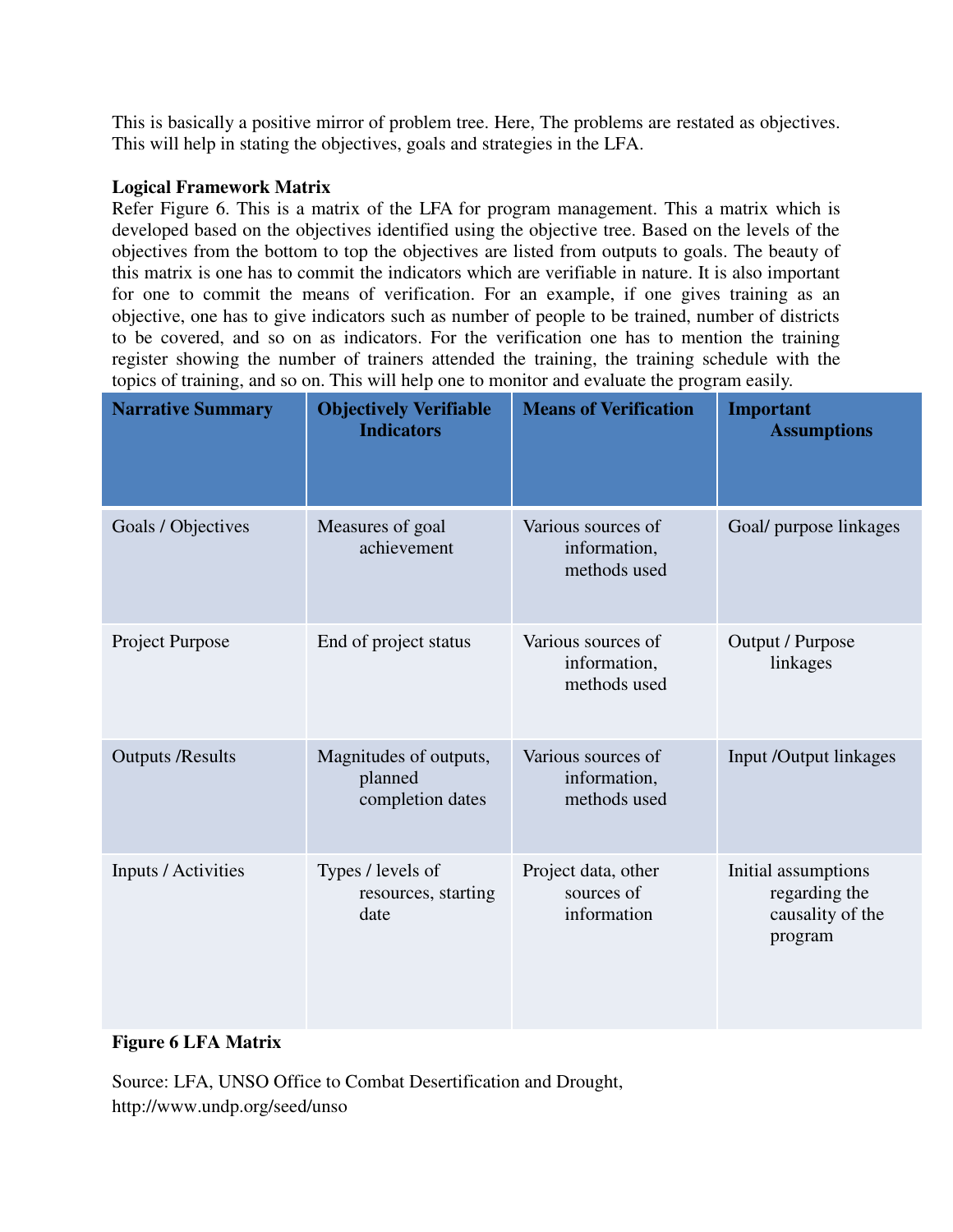This is basically a positive mirror of problem tree. Here, The problems are restated as objectives. This will help in stating the objectives, goals and strategies in the LFA.

## **Logical Framework Matrix**

Refer Figure 6. This is a matrix of the LFA for program management. This a matrix which is developed based on the objectives identified using the objective tree. Based on the levels of the objectives from the bottom to top the objectives are listed from outputs to goals. The beauty of this matrix is one has to commit the indicators which are verifiable in nature. It is also important for one to commit the means of verification. For an example, if one gives training as an objective, one has to give indicators such as number of people to be trained, number of districts to be covered, and so on as indicators. For the verification one has to mention the training register showing the number of trainers attended the training, the training schedule with the topics of training, and so on. This will help one to monitor and evaluate the program easily.

| <b>Narrative Summary</b>   | <b>Objectively Verifiable</b><br><b>Indicators</b>    | <b>Means of Verification</b>                       | <b>Important</b><br><b>Assumptions</b>                              |
|----------------------------|-------------------------------------------------------|----------------------------------------------------|---------------------------------------------------------------------|
| Goals / Objectives         | Measures of goal<br>achievement                       | Various sources of<br>information,<br>methods used | Goal/ purpose linkages                                              |
| Project Purpose            | End of project status                                 | Various sources of<br>information,<br>methods used | Output / Purpose<br>linkages                                        |
| <b>Outputs /Results</b>    | Magnitudes of outputs,<br>planned<br>completion dates | Various sources of<br>information,<br>methods used | Input /Output linkages                                              |
| <b>Inputs / Activities</b> | Types / levels of<br>resources, starting<br>date      | Project data, other<br>sources of<br>information   | Initial assumptions<br>regarding the<br>causality of the<br>program |

#### **Figure 6 LFA Matrix**

Source: LFA, UNSO Office to Combat Desertification and Drought, http://www.undp.org/seed/unso